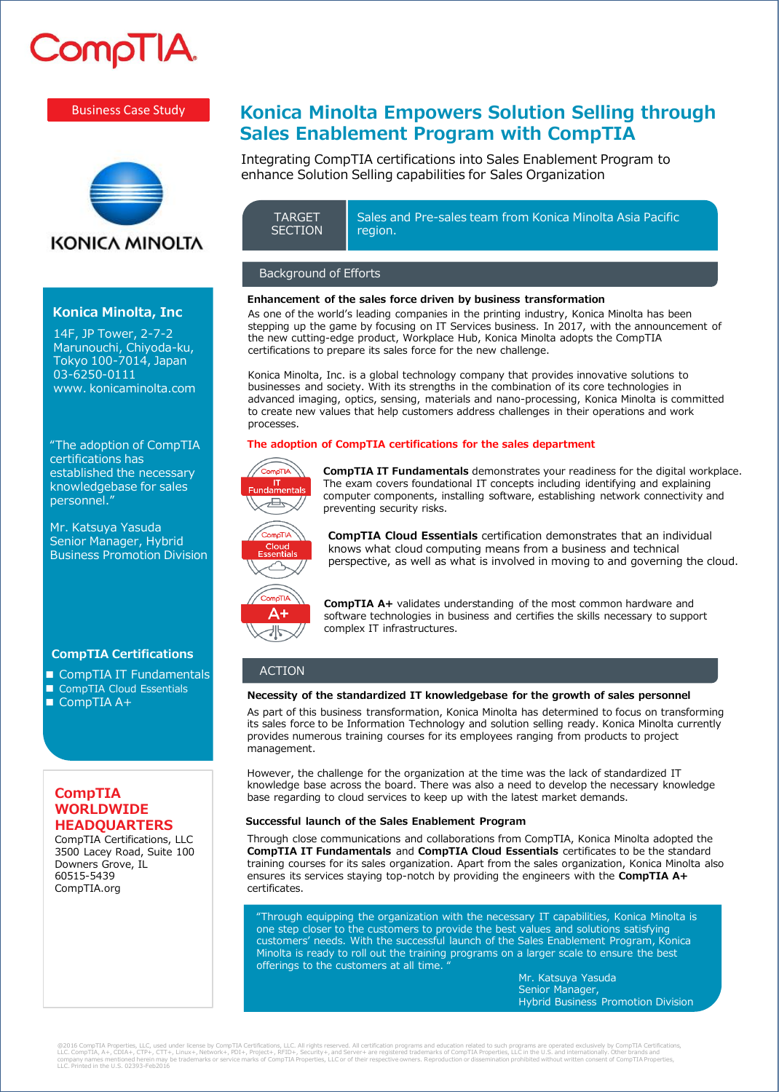# **CompTIA**

#### Business Case Study



## **KONICA MINOLTA**

#### **Konica Minolta, Inc**

14F, JP Tower, 2-7-2 Marunouchi, Chiyoda-ku, Tokyo 100-7014, Japan 03-6250-0111 www. konicaminolta.com

"The adoption of CompTIA certifications has established the necessary knowledgebase for sales personnel."

Mr. Katsuya Yasuda Senior Manager, Hybrid Business Promotion Division

#### **CompTIA Certifications**

- CompTIA IT Fundamentals
- CompTIA Cloud Essentials ■ CompTIA A+

#### **CompTIA WORLDWIDE HEADQUARTERS**

CompTIA Certifications, LLC 3500 Lacey Road, Suite 100 Downers Grove, IL 60515-5439 CompTIA.org

# **Konica Minolta Empowers Solution Selling through Sales Enablement Program with CompTIA**

Integrating CompTIA certifications into Sales Enablement Program to enhance Solution Selling capabilities for Sales Organization

Sales and Pre-sales team from Konica Minolta Asia Pacific region. **TARGET SECTION** 

#### Background of Efforts

#### **Enhancement of the sales force driven by business transformation**

As one of the world's leading companies in the printing industry, Konica Minolta has been stepping up the game by focusing on IT Services business. In 2017, with the announcement of the new cutting-edge product, Workplace Hub, Konica Minolta adopts the CompTIA certifications to prepare its sales force for the new challenge.

Konica Minolta, Inc. is a global technology company that provides innovative solutions to businesses and society. With its strengths in the combination of its core technologies in advanced imaging, optics, sensing, materials and nano-processing, Konica Minolta is committed to create new values that help customers address challenges in their operations and work processes.

#### **The adoption of CompTIA certifications for the sales department**



**CompTIA IT Fundamentals** demonstrates your readiness for the digital workplace. The exam covers foundational IT concepts including identifying and explaining computer components, installing software, establishing network connectivity and preventing security risks.



**CompTIA Cloud Essentials** certification demonstrates that an individual knows what cloud computing means from a business and technical perspective, as well as what is involved in moving to and governing the cloud.



**CompTIA A+** validates understanding of the most common hardware and software technologies in business and certifies the skills necessary to support complex IT infrastructures.

### **ACTION**

#### **Necessity of the standardized IT knowledgebase for the growth of sales personnel**

As part of this business transformation, Konica Minolta has determined to focus on transforming its sales force to be Information Technology and solution selling ready. Konica Minolta currently provides numerous training courses for its employees ranging from products to project management.

However, the challenge for the organization at the time was the lack of standardized IT knowledge base across the board. There was also a need to develop the necessary knowledge base regarding to cloud services to keep up with the latest market demands.

#### **Successful launch of the Sales Enablement Program**

Through close communications and collaborations from CompTIA, Konica Minolta adopted the **CompTIA IT Fundamentals** and **CompTIA Cloud Essentials** certificates to be the standard training courses for its sales organization. Apart from the sales organization, Konica Minolta also ensures its services staying top-notch by providing the engineers with the **CompTIA A+**  certificates.

"Through equipping the organization with the necessary IT capabilities, Konica Minolta is one step closer to the customers to provide the best values and solutions satisfying customers' needs. With the successful launch of the Sales Enablement Program, Konica Minolta is ready to roll out the training programs on a larger scale to ensure the best offerings to the customers at all time.

Mr. Katsuya Yasuda Senior Manager, Hybrid Business Promotion Division

@2016 CompTIA Properties, LLC, used under license by CompTIA Certifications, LLC. All rights reserved. All certifications, cure respects and education related to such programs are operated productionely. Other brands and<br>c